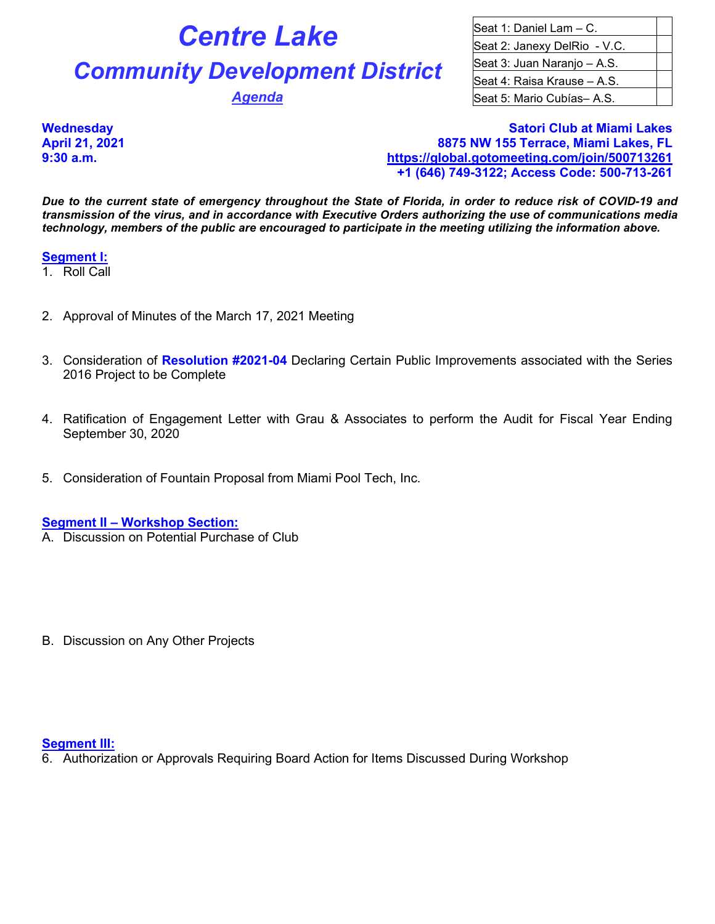# **Centre Lake**

## **Community Development District**

Agenda<br>

| Seat 1: Daniel Lam - C.      |  |
|------------------------------|--|
| Seat 2: Janexy DelRio - V.C. |  |
| Seat 3: Juan Naranjo - A.S.  |  |
| Seat 4: Raisa Krause - A.S.  |  |
| Seat 5: Mario Cubías-A.S.    |  |

**Wednesday Satori Club at Miami Lakes April 21, 2021 8875 NW 155 Terrace, Miami Lakes, FL 9:30 a.m. <https://global.gotomeeting.com/join/500713261> +1 (646) 749-3122; Access Code: 500-713-261**

*Due to the current state of emergency throughout the State of Florida, in order to reduce risk of COVID-19 and transmission of the virus, and in accordance with Executive Orders authorizing the use of communications media technology, members of the public are encouraged to participate in the meeting utilizing the information above.*

#### **Segment I:**

- 1. Roll Call
- 2. Approval of Minutes of the March 17, 2021 Meeting
- 3. Consideration of **Resolution #2021-04** Declaring Certain Public Improvements associated with the Series 2016 Project to be Complete
- 4. Ratification of Engagement Letter with Grau & Associates to perform the Audit for Fiscal Year Ending September 30, 2020
- 5. Consideration of Fountain Proposal from Miami Pool Tech, Inc.

#### **Segment II – Workshop Section:**

- A. Discussion on Potential Purchase of Club
- B. Discussion on Any Other Projects

#### **Segment III:**

6. Authorization or Approvals Requiring Board Action for Items Discussed During Workshop